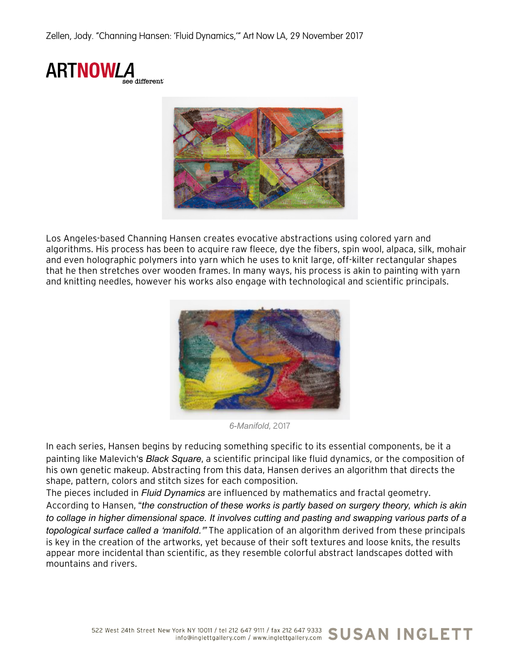



Los Angeles-based Channing Hansen creates evocative abstractions using colored yarn and algorithms. His process has been to acquire raw fleece, dye the fibers, spin wool, alpaca, silk, mohair and even holographic polymers into yarn which he uses to knit large, off-kilter rectangular shapes that he then stretches over wooden frames. In many ways, his process is akin to painting with yarn and knitting needles, however his works also engage with technological and scientific principals.



*6-Manifold*, 2017

In each series, Hansen begins by reducing something specific to its essential components, be it a painting like Malevich's *Black Square*, a scientific principal like fluid dynamics, or the composition of his own genetic makeup. Abstracting from this data, Hansen derives an algorithm that directs the shape, pattern, colors and stitch sizes for each composition.

The pieces included in *Fluid Dynamics* are influenced by mathematics and fractal geometry. According to Hansen, "*the construction of these works is partly based on surgery theory, which is akin to collage in higher dimensional space. It involves cutting and pasting and swapping various parts of a topological surface called a 'manifold.'"* The application of an algorithm derived from these principals is key in the creation of the artworks, yet because of their soft textures and loose knits, the results appear more incidental than scientific, as they resemble colorful abstract landscapes dotted with mountains and rivers.